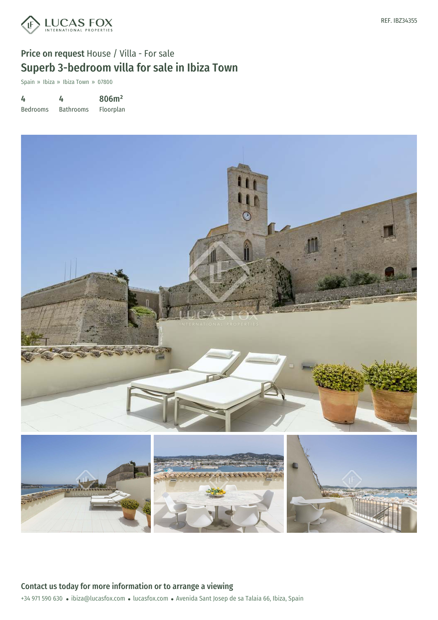

# Price on request House / Villa - For sale Superb 3-bedroom villa for sale in Ibiza Town

Spain » Ibiza » Ibiza Town » 07800

4 Bedrooms 4 Bathrooms 806m² Floorplan



REF. IBZ34355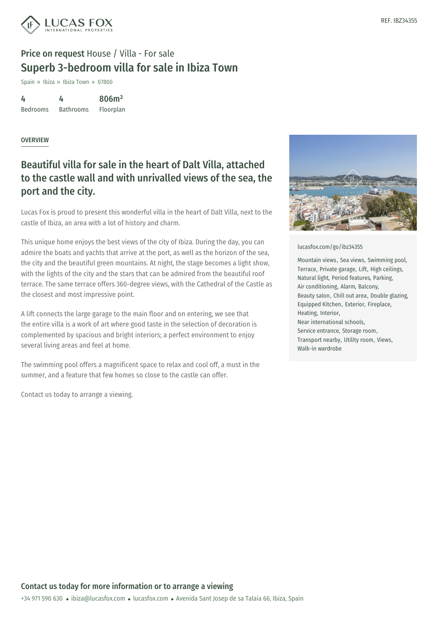

## Price on request House / Villa - For sale Superb 3-bedroom villa for sale in Ibiza Town

Spain » Ibiza » Ibiza Town » 07800

4 Bedrooms 4 Bathrooms 806m² Floorplan

### OVERVIEW

### Beautiful villa for sale in the heart of Dalt Villa, attached to the castle wall and with unrivalled views of the sea, the port and the city.

Lucas Fox is proud to present this wonderful villa in the heart of Dalt Villa, next to the castle of Ibiza, an area with a lot of history and charm.

This unique home enjoys the best views of the city of Ibiza. During the day, you can admire the boats and yachts that arrive at the port, as well as the horizon of the sea, the city and the beautiful green mountains. At night, the stage becomes a light show, with the lights of the city and the stars that can be admired from the beautiful roof terrace. The same terrace offers 360-degree views, with the Cathedral of the Castle as the closest and most impressive point.

A lift connects the large garage to the main floor and on entering, we see that the entire villa is a work of art where good taste in the selection of decoration is complemented by spacious and bright interiors; a perfect environment to enjoy several living areas and feel at home.

The swimming pool offers a magnificent space to relax and cool off, a must in the summer, and a feature that few homes so close to the castle can offer.

Contact us today to arrange a viewing.



#### [lucasfox.com/go/ibz34355](https://www.lucasfox.com/go/ibz34355)

Mountain views, Sea views, Swimming pool, Terrace, Private garage, Lift, High ceilings, Natural light, Period features, Parking, Air conditioning, Alarm, Balcony, Beauty salon, Chill out area, Double glazing, Equipped Kitchen, Exterior, Fireplace, Heating, Interior, Near international schools, Service entrance, Storage room, Transport nearby, Utility room, Views, Walk-in wardrobe